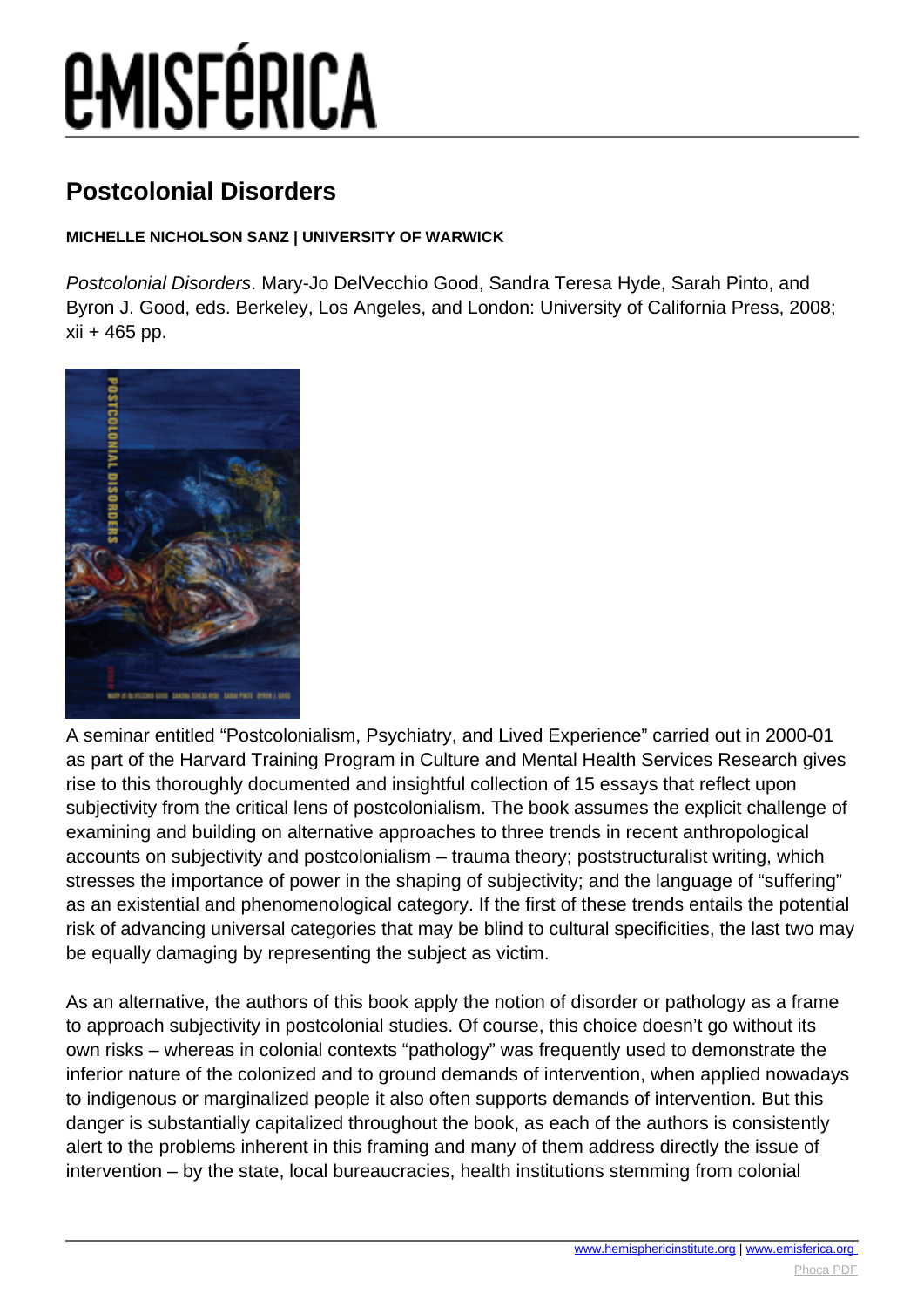# **EMISFÉRICA**

### **Postcolonial Disorders**

#### **MICHELLE NICHOLSON SANZ | UNIVERSITY OF WARWICK**

Postcolonial Disorders. Mary-Jo DelVecchio Good, Sandra Teresa Hyde, Sarah Pinto, and Byron J. Good, eds. Berkeley, Los Angeles, and London: University of California Press, 2008; xii + 465 pp.



A seminar entitled "Postcolonialism, Psychiatry, and Lived Experience" carried out in 2000-01 as part of the Harvard Training Program in Culture and Mental Health Services Research gives rise to this thoroughly documented and insightful collection of 15 essays that reflect upon subjectivity from the critical lens of postcolonialism. The book assumes the explicit challenge of examining and building on alternative approaches to three trends in recent anthropological accounts on subjectivity and postcolonialism – trauma theory; poststructuralist writing, which stresses the importance of power in the shaping of subjectivity; and the language of "suffering" as an existential and phenomenological category. If the first of these trends entails the potential risk of advancing universal categories that may be blind to cultural specificities, the last two may be equally damaging by representing the subject as victim.

As an alternative, the authors of this book apply the notion of disorder or pathology as a frame to approach subjectivity in postcolonial studies. Of course, this choice doesn't go without its own risks – whereas in colonial contexts "pathology" was frequently used to demonstrate the inferior nature of the colonized and to ground demands of intervention, when applied nowadays to indigenous or marginalized people it also often supports demands of intervention. But this danger is substantially capitalized throughout the book, as each of the authors is consistently alert to the problems inherent in this framing and many of them address directly the issue of intervention – by the state, local bureaucracies, health institutions stemming from colonial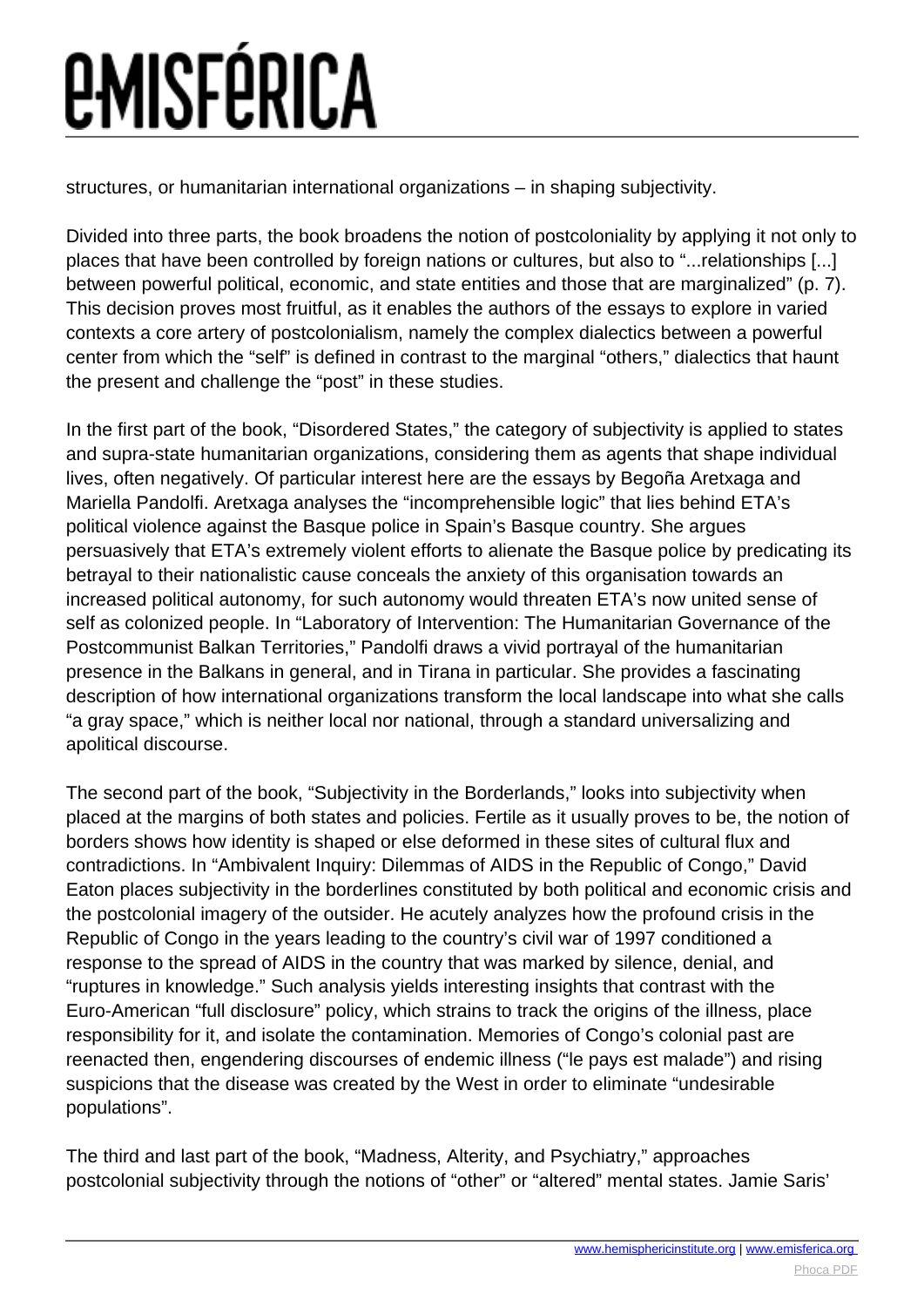## *<u>EMISFÉRICA</u>*

structures, or humanitarian international organizations – in shaping subjectivity.

Divided into three parts, the book broadens the notion of postcoloniality by applying it not only to places that have been controlled by foreign nations or cultures, but also to "...relationships [...] between powerful political, economic, and state entities and those that are marginalized" (p. 7). This decision proves most fruitful, as it enables the authors of the essays to explore in varied contexts a core artery of postcolonialism, namely the complex dialectics between a powerful center from which the "self" is defined in contrast to the marginal "others," dialectics that haunt the present and challenge the "post" in these studies.

In the first part of the book, "Disordered States," the category of subjectivity is applied to states and supra-state humanitarian organizations, considering them as agents that shape individual lives, often negatively. Of particular interest here are the essays by Begoña Aretxaga and Mariella Pandolfi. Aretxaga analyses the "incomprehensible logic" that lies behind ETA's political violence against the Basque police in Spain's Basque country. She argues persuasively that ETA's extremely violent efforts to alienate the Basque police by predicating its betrayal to their nationalistic cause conceals the anxiety of this organisation towards an increased political autonomy, for such autonomy would threaten ETA's now united sense of self as colonized people. In "Laboratory of Intervention: The Humanitarian Governance of the Postcommunist Balkan Territories," Pandolfi draws a vivid portrayal of the humanitarian presence in the Balkans in general, and in Tirana in particular. She provides a fascinating description of how international organizations transform the local landscape into what she calls "a gray space," which is neither local nor national, through a standard universalizing and apolitical discourse.

The second part of the book, "Subjectivity in the Borderlands," looks into subjectivity when placed at the margins of both states and policies. Fertile as it usually proves to be, the notion of borders shows how identity is shaped or else deformed in these sites of cultural flux and contradictions. In "Ambivalent Inquiry: Dilemmas of AIDS in the Republic of Congo," David Eaton places subjectivity in the borderlines constituted by both political and economic crisis and the postcolonial imagery of the outsider. He acutely analyzes how the profound crisis in the Republic of Congo in the years leading to the country's civil war of 1997 conditioned a response to the spread of AIDS in the country that was marked by silence, denial, and "ruptures in knowledge." Such analysis yields interesting insights that contrast with the Euro-American "full disclosure" policy, which strains to track the origins of the illness, place responsibility for it, and isolate the contamination. Memories of Congo's colonial past are reenacted then, engendering discourses of endemic illness ("le pays est malade") and rising suspicions that the disease was created by the West in order to eliminate "undesirable populations".

The third and last part of the book, "Madness, Alterity, and Psychiatry," approaches postcolonial subjectivity through the notions of "other" or "altered" mental states. Jamie Saris'